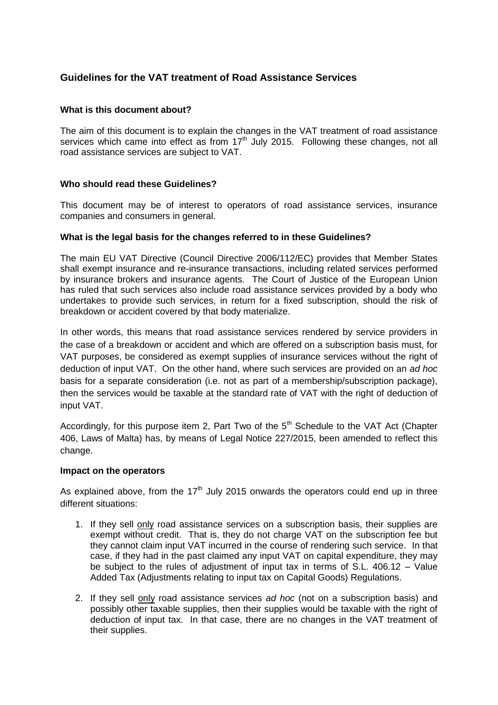# **Guidelines for the VAT treatment of Road Assistance Services**

#### **What is this document about?**

The aim of this document is to explain the changes in the VAT treatment of road assistance services which came into effect as from  $17<sup>th</sup>$  July 2015. Following these changes, not all road assistance services are subject to VAT.

## **Who should read these Guidelines?**

This document may be of interest to operators of road assistance services, insurance companies and consumers in general.

## **What is the legal basis for the changes referred to in these Guidelines?**

The main EU VAT Directive (Council Directive 2006/112/EC) provides that Member States shall exempt insurance and re-insurance transactions, including related services performed by insurance brokers and insurance agents. The Court of Justice of the European Union has ruled that such services also include road assistance services provided by a body who undertakes to provide such services, in return for a fixed subscription, should the risk of breakdown or accident covered by that body materialize.

In other words, this means that road assistance services rendered by service providers in the case of a breakdown or accident and which are offered on a subscription basis must, for VAT purposes, be considered as exempt supplies of insurance services without the right of deduction of input VAT. On the other hand, where such services are provided on an *ad hoc* basis for a separate consideration (i.e. not as part of a membership/subscription package), then the services would be taxable at the standard rate of VAT with the right of deduction of input VAT.

Accordingly, for this purpose item 2, Part Two of the  $5<sup>th</sup>$  Schedule to the VAT Act (Chapter 406, Laws of Malta) has, by means of Legal Notice 227/2015, been amended to reflect this change.

#### **Impact on the operators**

As explained above, from the  $17<sup>th</sup>$  July 2015 onwards the operators could end up in three different situations:

- 1. If they sell only road assistance services on a subscription basis, their supplies are exempt without credit. That is, they do not charge VAT on the subscription fee but they cannot claim input VAT incurred in the course of rendering such service. In that case, if they had in the past claimed any input VAT on capital expenditure, they may be subject to the rules of adjustment of input tax in terms of S.L. 406.12 – Value Added Tax (Adjustments relating to input tax on Capital Goods) Regulations.
- 2. If they sell only road assistance services *ad hoc* (not on a subscription basis) and possibly other taxable supplies, then their supplies would be taxable with the right of deduction of input tax. In that case, there are no changes in the VAT treatment of their supplies.